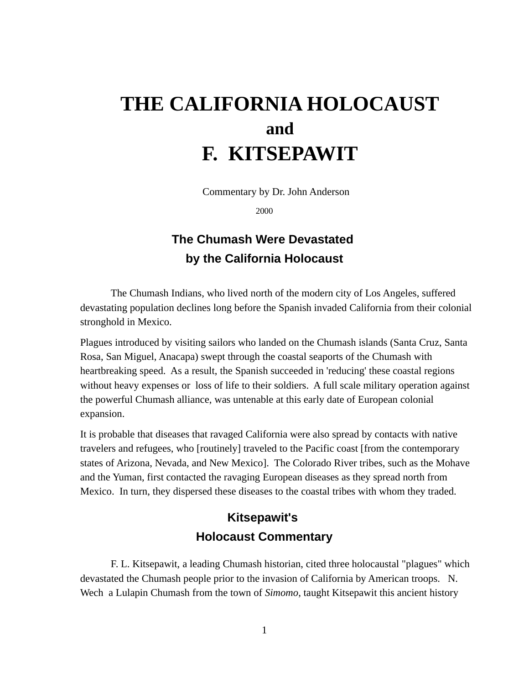# **THE CALIFORNIA HOLOCAUST and F. KITSEPAWIT**

Commentary by Dr. John Anderson

2000

## **The Chumash Were Devastated by the California Holocaust**

The Chumash Indians, who lived north of the modern city of Los Angeles, suffered devastating population declines long before the Spanish invaded California from their colonial stronghold in Mexico.

Plagues introduced by visiting sailors who landed on the Chumash islands (Santa Cruz, Santa Rosa, San Miguel, Anacapa) swept through the coastal seaports of the Chumash with heartbreaking speed. As a result, the Spanish succeeded in 'reducing' these coastal regions without heavy expenses or loss of life to their soldiers. A full scale military operation against the powerful Chumash alliance, was untenable at this early date of European colonial expansion.

It is probable that diseases that ravaged California were also spread by contacts with native travelers and refugees, who [routinely] traveled to the Pacific coast [from the contemporary states of Arizona, Nevada, and New Mexico]. The Colorado River tribes, such as the Mohave and the Yuman, first contacted the ravaging European diseases as they spread north from Mexico. In turn, they dispersed these diseases to the coastal tribes with whom they traded.

## **Kitsepawit's Holocaust Commentary**

F. L. Kitsepawit, a leading Chumash historian, cited three holocaustal "plagues" which devastated the Chumash people prior to the invasion of California by American troops. N. Wech a Lulapin Chumash from the town of *Simomo*, taught Kitsepawit this ancient history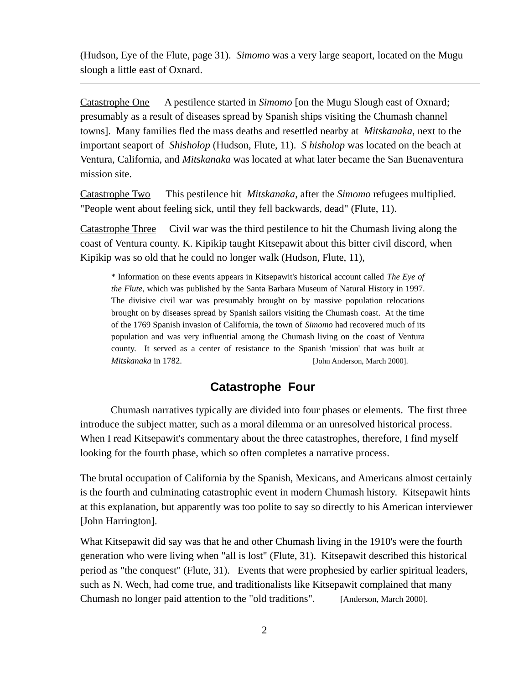(Hudson, Eye of the Flute, page 31). *Simomo* was a very large seaport, located on the Mugu slough a little east of Oxnard.

Catastrophe One A pestilence started in *Simomo* [on the Mugu Slough east of Oxnard; presumably as a result of diseases spread by Spanish ships visiting the Chumash channel towns]. Many families fled the mass deaths and resettled nearby at *Mitskanaka*, next to the important seaport of *Shisholop* (Hudson, Flute, 11). *S hisholop* was located on the beach at Ventura, California, and *Mitskanaka* was located at what later became the San Buenaventura mission site.

Catastrophe Two This pestilence hit *Mitskanaka*, after the *Simomo* refugees multiplied. "People went about feeling sick, until they fell backwards, dead" (Flute, 11).

Catastrophe Three Civil war was the third pestilence to hit the Chumash living along the coast of Ventura county. K. Kipikip taught Kitsepawit about this bitter civil discord, when Kipikip was so old that he could no longer walk (Hudson, Flute, 11),

\* Information on these events appears in Kitsepawit's historical account called *The Eye of the Flute*, which was published by the Santa Barbara Museum of Natural History in 1997. The divisive civil war was presumably brought on by massive population relocations brought on by diseases spread by Spanish sailors visiting the Chumash coast. At the time of the 1769 Spanish invasion of California, the town of *Simomo* had recovered much of its population and was very influential among the Chumash living on the coast of Ventura county. It served as a center of resistance to the Spanish 'mission' that was built at *Mitskanaka* in 1782. [John Anderson, March 2000].

#### **Catastrophe Four**

Chumash narratives typically are divided into four phases or elements. The first three introduce the subject matter, such as a moral dilemma or an unresolved historical process. When I read Kitsepawit's commentary about the three catastrophes, therefore, I find myself looking for the fourth phase, which so often completes a narrative process.

The brutal occupation of California by the Spanish, Mexicans, and Americans almost certainly is the fourth and culminating catastrophic event in modern Chumash history. Kitsepawit hints at this explanation, but apparently was too polite to say so directly to his American interviewer [John Harrington].

What Kitsepawit did say was that he and other Chumash living in the 1910's were the fourth generation who were living when "all is lost" (Flute, 31). Kitsepawit described this historical period as "the conquest" (Flute, 31). Events that were prophesied by earlier spiritual leaders, such as N. Wech, had come true, and traditionalists like Kitsepawit complained that many Chumash no longer paid attention to the "old traditions". [Anderson, March 2000].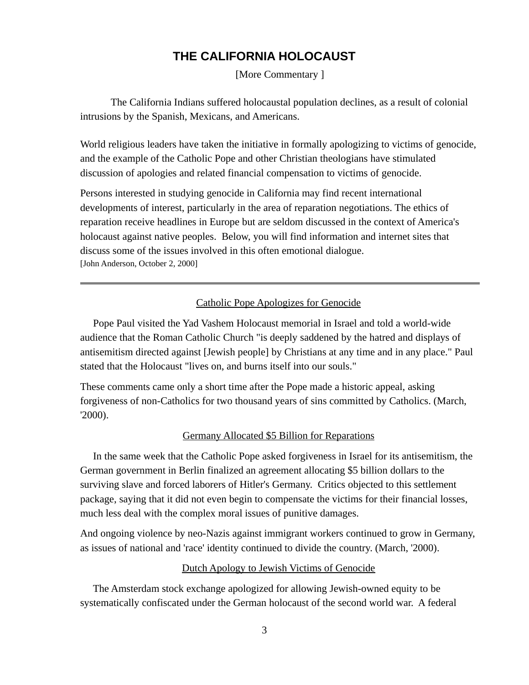### **THE CALIFORNIA HOLOCAUST**

[More Commentary ]

The California Indians suffered holocaustal population declines, as a result of colonial intrusions by the Spanish, Mexicans, and Americans.

World religious leaders have taken the initiative in formally apologizing to victims of genocide, and the example of the Catholic Pope and other Christian theologians have stimulated discussion of apologies and related financial compensation to victims of genocide.

Persons interested in studying genocide in California may find recent international developments of interest, particularly in the area of reparation negotiations. The ethics of reparation receive headlines in Europe but are seldom discussed in the context of America's holocaust against native peoples. Below, you will find information and internet sites that discuss some of the issues involved in this often emotional dialogue. [John Anderson, October 2, 2000]

#### Catholic Pope Apologizes for Genocide

 Pope Paul visited the Yad Vashem Holocaust memorial in Israel and told a world-wide audience that the Roman Catholic Church "is deeply saddened by the hatred and displays of antisemitism directed against [Jewish people] by Christians at any time and in any place." Paul stated that the Holocaust "lives on, and burns itself into our souls."

These comments came only a short time after the Pope made a historic appeal, asking forgiveness of non-Catholics for two thousand years of sins committed by Catholics. (March, '2000).

#### Germany Allocated \$5 Billion for Reparations

 In the same week that the Catholic Pope asked forgiveness in Israel for its antisemitism, the German government in Berlin finalized an agreement allocating \$5 billion dollars to the surviving slave and forced laborers of Hitler's Germany. Critics objected to this settlement package, saying that it did not even begin to compensate the victims for their financial losses, much less deal with the complex moral issues of punitive damages.

And ongoing violence by neo-Nazis against immigrant workers continued to grow in Germany, as issues of national and 'race' identity continued to divide the country. (March, '2000).

#### Dutch Apology to Jewish Victims of Genocide

 The Amsterdam stock exchange apologized for allowing Jewish-owned equity to be systematically confiscated under the German holocaust of the second world war. A federal